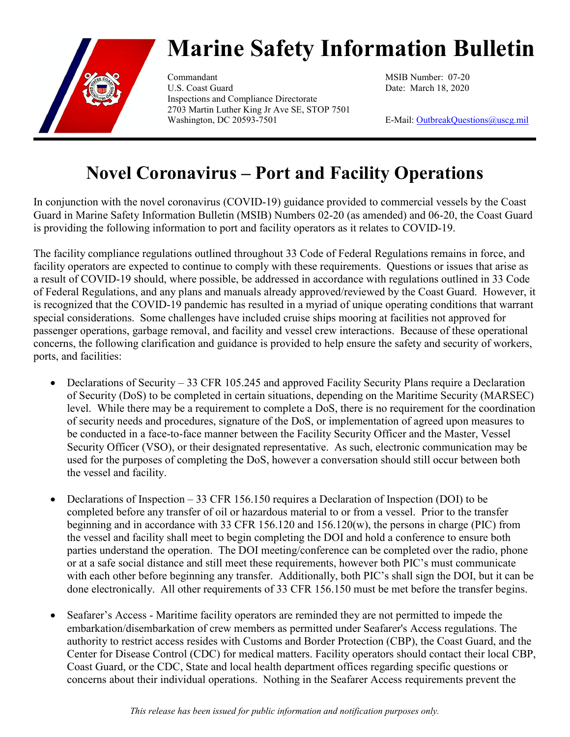

## **Marine Safety Information Bulletin**

Commandant MSIB Number: 07-20 U.S. Coast Guard Date: March 18, 2020 Inspections and Compliance Directorate 2703 Martin Luther King Jr Ave SE, STOP 7501 Washington, DC 20593-7501 E-Mail: [OutbreakQuestions@uscg.mil](mailto:OutbreakQuestions@uscg.mil)

## **Novel Coronavirus – Port and Facility Operations**

In conjunction with the novel coronavirus (COVID-19) guidance provided to commercial vessels by the Coast Guard in Marine Safety Information Bulletin (MSIB) Numbers 02-20 (as amended) and 06-20, the Coast Guard is providing the following information to port and facility operators as it relates to COVID-19.

The facility compliance regulations outlined throughout 33 Code of Federal Regulations remains in force, and facility operators are expected to continue to comply with these requirements. Questions or issues that arise as a result of COVID-19 should, where possible, be addressed in accordance with regulations outlined in 33 Code of Federal Regulations, and any plans and manuals already approved/reviewed by the Coast Guard. However, it is recognized that the COVID-19 pandemic has resulted in a myriad of unique operating conditions that warrant special considerations. Some challenges have included cruise ships mooring at facilities not approved for passenger operations, garbage removal, and facility and vessel crew interactions. Because of these operational concerns, the following clarification and guidance is provided to help ensure the safety and security of workers, ports, and facilities:

- Declarations of Security 33 CFR 105.245 and approved Facility Security Plans require a Declaration of Security (DoS) to be completed in certain situations, depending on the Maritime Security (MARSEC) level. While there may be a requirement to complete a DoS, there is no requirement for the coordination of security needs and procedures, signature of the DoS, or implementation of agreed upon measures to be conducted in a face-to-face manner between the Facility Security Officer and the Master, Vessel Security Officer (VSO), or their designated representative. As such, electronic communication may be used for the purposes of completing the DoS, however a conversation should still occur between both the vessel and facility.
- Declarations of Inspection 33 CFR 156.150 requires a Declaration of Inspection (DOI) to be completed before any transfer of oil or hazardous material to or from a vessel. Prior to the transfer beginning and in accordance with 33 CFR 156.120 and 156.120(w), the persons in charge (PIC) from the vessel and facility shall meet to begin completing the DOI and hold a conference to ensure both parties understand the operation. The DOI meeting/conference can be completed over the radio, phone or at a safe social distance and still meet these requirements, however both PIC's must communicate with each other before beginning any transfer. Additionally, both PIC's shall sign the DOI, but it can be done electronically. All other requirements of 33 CFR 156.150 must be met before the transfer begins.
- Seafarer's Access Maritime facility operators are reminded they are not permitted to impede the embarkation/disembarkation of crew members as permitted under Seafarer's Access regulations. The authority to restrict access resides with Customs and Border Protection (CBP), the Coast Guard, and the Center for Disease Control (CDC) for medical matters. Facility operators should contact their local CBP, Coast Guard, or the CDC, State and local health department offices regarding specific questions or concerns about their individual operations. Nothing in the Seafarer Access requirements prevent the